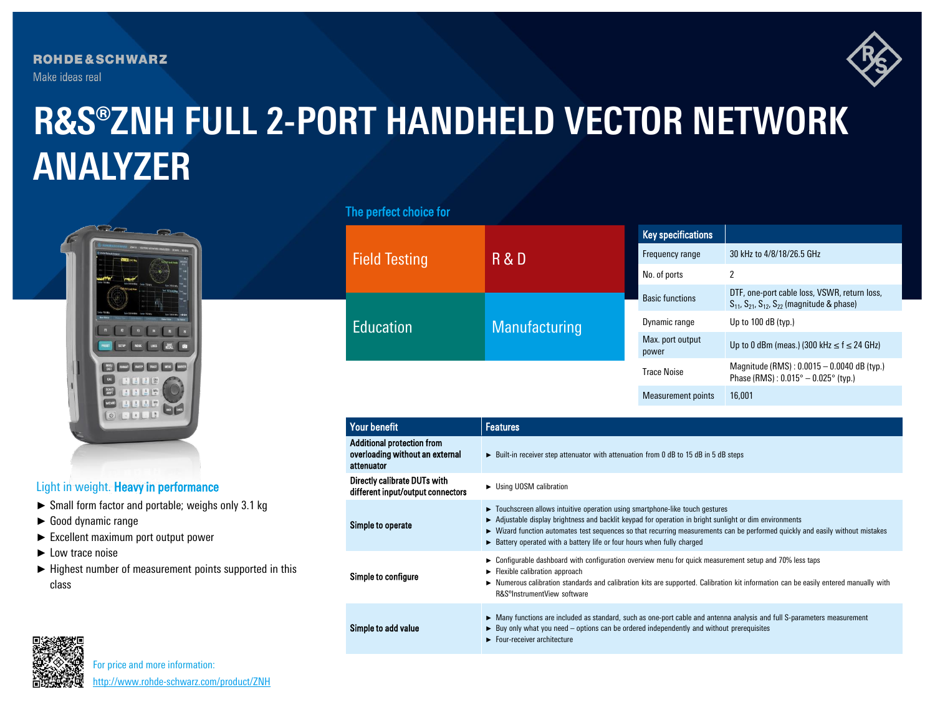**ROHDE&SCHWARZ** Make ideas real



# **R&S®ZNH FULL 2-PORT HANDHELD VECTOR NETWORK ANALYZER**



## Light in weight. Heavy in performance

- ► Small form factor and portable; weighs only 3.1 kg
- ► Good dynamic range
- ► Excellent maximum port output power
- ► Low trace noise
- ► Highest number of measurement points supported in this class

### The perfect choice for

| <b>Field Testing</b> | R & D         | <b>Key specifications</b> |                                                                                                               |
|----------------------|---------------|---------------------------|---------------------------------------------------------------------------------------------------------------|
|                      |               | Frequency range           | 30 kHz to 4/8/18/26.5 GHz                                                                                     |
|                      |               | No. of ports              | 2                                                                                                             |
| <b>Education</b>     | Manufacturing | <b>Basic functions</b>    | DTF, one-port cable loss, VSWR, return loss,<br>$S_{11}$ , $S_{21}$ , $S_{12}$ , $S_{22}$ (magnitude & phase) |
|                      |               | Dynamic range             | Up to $100$ dB (typ.)                                                                                         |
|                      |               | Max. port output<br>power | Up to 0 dBm (meas.) (300 kHz $\leq$ f $\leq$ 24 GHz)                                                          |
|                      |               | <b>Trace Noise</b>        | Magnitude (RMS): $0.0015 - 0.0040$ dB (typ.)<br>Phase (RMS): $0.015^{\circ} - 0.025^{\circ}$ (typ.)           |
|                      |               | <b>Measurement points</b> | 16.001                                                                                                        |

| <b>Measurement points</b> |  |
|---------------------------|--|
|---------------------------|--|

| <b>Your benefit</b>                                                                | <b>Features</b>                                                                                                                                                                                                                                                                                                                                                                                     |  |  |
|------------------------------------------------------------------------------------|-----------------------------------------------------------------------------------------------------------------------------------------------------------------------------------------------------------------------------------------------------------------------------------------------------------------------------------------------------------------------------------------------------|--|--|
| <b>Additional protection from</b><br>overloading without an external<br>attenuator | $\triangleright$ Built-in receiver step attenuator with attenuation from 0 dB to 15 dB in 5 dB steps                                                                                                                                                                                                                                                                                                |  |  |
| Directly calibrate DUTs with<br>different input/output connectors                  | ► Using UOSM calibration                                                                                                                                                                                                                                                                                                                                                                            |  |  |
| Simple to operate                                                                  | • Touchscreen allows intuitive operation using smartphone-like touch gestures<br>► Adjustable display brightness and backlit keypad for operation in bright sunlight or dim environments<br>► Wizard function automates test sequences so that recurring measurements can be performed quickly and easily without mistakes<br>Battery operated with a battery life or four hours when fully charged |  |  |
| Simple to configure                                                                | $\triangleright$ Configurable dashboard with configuration overview menu for quick measurement setup and 70% less taps<br>$\blacktriangleright$ Flexible calibration approach<br>► Numerous calibration standards and calibration kits are supported. Calibration kit information can be easily entered manually with<br>R&S <sup>®</sup> InstrumentView software                                   |  |  |
| Simple to add value                                                                | ► Many functions are included as standard, such as one-port cable and antenna analysis and full S-parameters measurement<br>$\triangleright$ Buy only what you need – options can be ordered independently and without prerequisites<br>$\blacktriangleright$ Four-receiver architecture                                                                                                            |  |  |



For price and more information: [http://www.rohde-schwarz.com/product/ZNH](http://www.rohde-schwarz.com/product/ZNH?cid=744_com_qr_190_Marcom_20-03_i__Factsheet_printmag_text-ad___Web_)